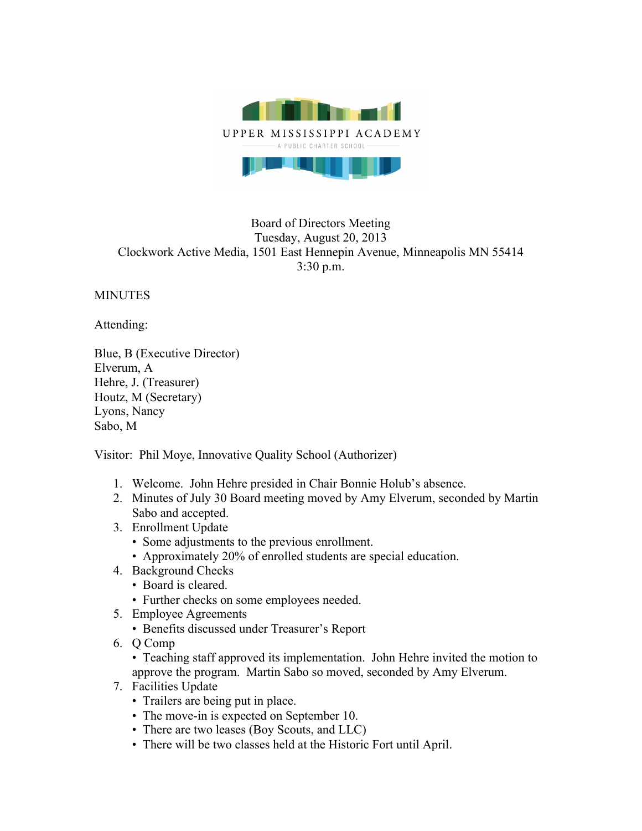

## Board of Directors Meeting Tuesday, August 20, 2013 Clockwork Active Media, 1501 East Hennepin Avenue, Minneapolis MN 55414 3:30 p.m.

**MINUTES** 

Attending:

Blue, B (Executive Director) Elverum, A Hehre, J. (Treasurer) Houtz, M (Secretary) Lyons, Nancy Sabo, M

Visitor: Phil Moye, Innovative Quality School (Authorizer)

- 1. Welcome. John Hehre presided in Chair Bonnie Holub's absence.
- 2. Minutes of July 30 Board meeting moved by Amy Elverum, seconded by Martin Sabo and accepted.
- 3. Enrollment Update
	- Some adjustments to the previous enrollment.
	- Approximately 20% of enrolled students are special education.
- 4. Background Checks
	- Board is cleared.
	- Further checks on some employees needed.
- 5. Employee Agreements
	- Benefits discussed under Treasurer's Report
- 6. Q Comp

• Teaching staff approved its implementation. John Hehre invited the motion to approve the program. Martin Sabo so moved, seconded by Amy Elverum.

- 7. Facilities Update
	- Trailers are being put in place.
	- The move-in is expected on September 10.
	- There are two leases (Boy Scouts, and LLC)
	- There will be two classes held at the Historic Fort until April.